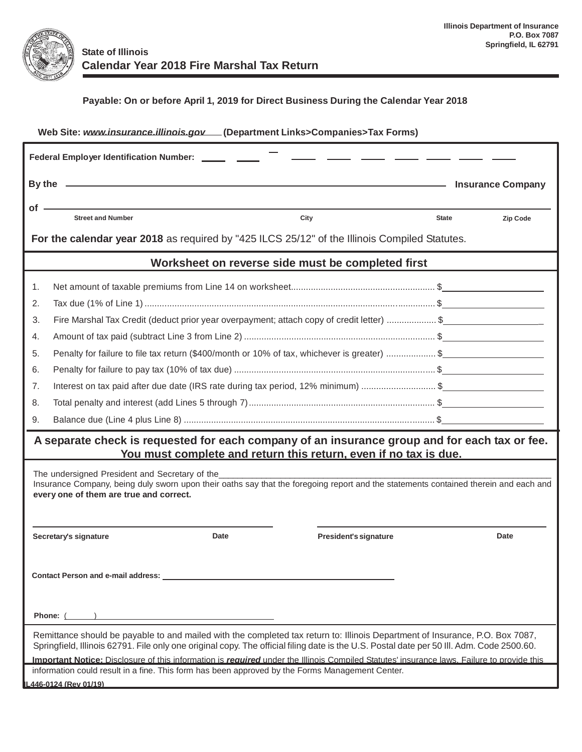

| Web Site: www.insurance.illinois.gov [Department Links>Companies>Tax Forms)                                                                                                                                                                                                |                                                                                                      |                                                                  |                          |  |  |  |  |  |  |
|----------------------------------------------------------------------------------------------------------------------------------------------------------------------------------------------------------------------------------------------------------------------------|------------------------------------------------------------------------------------------------------|------------------------------------------------------------------|--------------------------|--|--|--|--|--|--|
| Federal Employer Identification Number: ______ ____                                                                                                                                                                                                                        |                                                                                                      |                                                                  |                          |  |  |  |  |  |  |
|                                                                                                                                                                                                                                                                            | By the 2000 and 2000 and 2000 and 2000 and 2000 and 2000 and 2000 and 2000 and 2000 and 2000 and 200 | <b>Insurance Company</b>                                         |                          |  |  |  |  |  |  |
| of -                                                                                                                                                                                                                                                                       | <b>Street and Number</b>                                                                             | City                                                             | <b>State</b><br>Zip Code |  |  |  |  |  |  |
|                                                                                                                                                                                                                                                                            |                                                                                                      |                                                                  |                          |  |  |  |  |  |  |
| For the calendar year 2018 as required by "425 ILCS 25/12" of the Illinois Compiled Statutes.                                                                                                                                                                              |                                                                                                      |                                                                  |                          |  |  |  |  |  |  |
| Worksheet on reverse side must be completed first                                                                                                                                                                                                                          |                                                                                                      |                                                                  |                          |  |  |  |  |  |  |
| 1.                                                                                                                                                                                                                                                                         |                                                                                                      |                                                                  |                          |  |  |  |  |  |  |
| 2.                                                                                                                                                                                                                                                                         |                                                                                                      |                                                                  |                          |  |  |  |  |  |  |
| 3.                                                                                                                                                                                                                                                                         | Fire Marshal Tax Credit (deduct prior year overpayment; attach copy of credit letter) \$             |                                                                  |                          |  |  |  |  |  |  |
| 4.                                                                                                                                                                                                                                                                         |                                                                                                      |                                                                  |                          |  |  |  |  |  |  |
| 5.                                                                                                                                                                                                                                                                         | Penalty for failure to file tax return (\$400/month or 10% of tax, whichever is greater)  \$         |                                                                  |                          |  |  |  |  |  |  |
| 6.                                                                                                                                                                                                                                                                         |                                                                                                      |                                                                  |                          |  |  |  |  |  |  |
| 7.                                                                                                                                                                                                                                                                         | Interest on tax paid after due date (IRS rate during tax period, 12% minimum) \$                     |                                                                  |                          |  |  |  |  |  |  |
| 8.                                                                                                                                                                                                                                                                         |                                                                                                      |                                                                  |                          |  |  |  |  |  |  |
| 9.                                                                                                                                                                                                                                                                         |                                                                                                      |                                                                  |                          |  |  |  |  |  |  |
| A separate check is requested for each company of an insurance group and for each tax or fee.                                                                                                                                                                              |                                                                                                      |                                                                  |                          |  |  |  |  |  |  |
|                                                                                                                                                                                                                                                                            |                                                                                                      | You must complete and return this return, even if no tax is due. |                          |  |  |  |  |  |  |
| The undersigned President and Secretary of the<br>Insurance Company, being duly sworn upon their oaths say that the foregoing report and the statements contained therein and each and                                                                                     |                                                                                                      |                                                                  |                          |  |  |  |  |  |  |
| every one of them are true and correct.                                                                                                                                                                                                                                    |                                                                                                      |                                                                  |                          |  |  |  |  |  |  |
|                                                                                                                                                                                                                                                                            |                                                                                                      |                                                                  |                          |  |  |  |  |  |  |
|                                                                                                                                                                                                                                                                            | Date<br>Secretary's signature                                                                        | President's signature                                            | Date                     |  |  |  |  |  |  |
|                                                                                                                                                                                                                                                                            |                                                                                                      |                                                                  |                          |  |  |  |  |  |  |
|                                                                                                                                                                                                                                                                            |                                                                                                      |                                                                  |                          |  |  |  |  |  |  |
| Contact Person and e-mail address: _                                                                                                                                                                                                                                       |                                                                                                      |                                                                  |                          |  |  |  |  |  |  |
|                                                                                                                                                                                                                                                                            |                                                                                                      |                                                                  |                          |  |  |  |  |  |  |
| Phone: (                                                                                                                                                                                                                                                                   |                                                                                                      |                                                                  |                          |  |  |  |  |  |  |
| Remittance should be payable to and mailed with the completed tax return to: Illinois Department of Insurance, P.O. Box 7087,<br>Springfield, Illinois 62791. File only one original copy. The official filing date is the U.S. Postal date per 50 III. Adm. Code 2500.60. |                                                                                                      |                                                                  |                          |  |  |  |  |  |  |
| Important Notice: Disclosure of this information is <i>required</i> under the Illinois Compiled Statutes' insurance laws. Failure to provide this                                                                                                                          |                                                                                                      |                                                                  |                          |  |  |  |  |  |  |
| information could result in a fine. This form has been approved by the Forms Management Center.                                                                                                                                                                            |                                                                                                      |                                                                  |                          |  |  |  |  |  |  |
| L446-0124 (Rev 01/19)                                                                                                                                                                                                                                                      |                                                                                                      |                                                                  |                          |  |  |  |  |  |  |